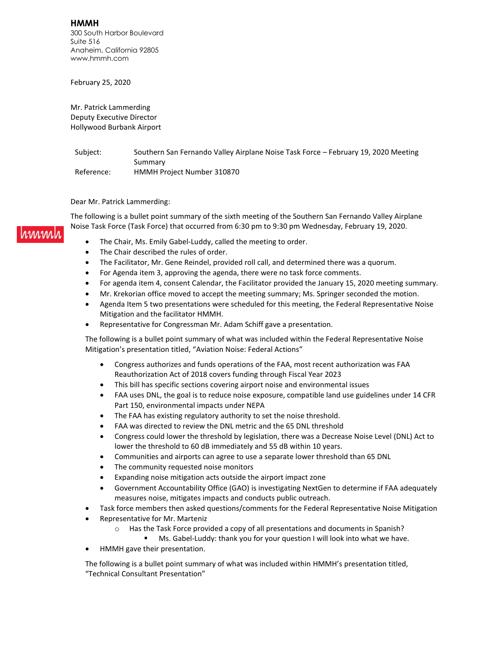**HMMH** 300 South Harbor Boulevard Suite 516 Anaheim, California 92805 www.hmmh.com

February 25, 2020

Mr. Patrick Lammerding Deputy Executive Director Hollywood Burbank Airport

Subject: Southern San Fernando Valley Airplane Noise Task Force - February 19, 2020 Meeting Summary Reference: HMMH Project Number 310870

Dear Mr. Patrick Lammerding:

The following is a bullet point summary of the sixth meeting of the Southern San Fernando Valley Airplane Noise Task Force (Task Force) that occurred from 6:30 pm to 9:30 pm Wednesday, February 19, 2020.

- The Chair, Ms. Emily Gabel-Luddy, called the meeting to order.
- The Chair described the rules of order.
- The Facilitator, Mr. Gene Reindel, provided roll call, and determined there was a quorum.
- For Agenda item 3, approving the agenda, there were no task force comments.
- For agenda item 4, consent Calendar, the Facilitator provided the January 15, 2020 meeting summary.
- Mr. Krekorian office moved to accept the meeting summary; Ms. Springer seconded the motion.
- Agenda Item 5 two presentations were scheduled for this meeting, the Federal Representative Noise Mitigation and the facilitator HMMH.
- Representative for Congressman Mr. Adam Schiff gave a presentation.

The following is a bullet point summary of what was included within the Federal Representative Noise Mitigation's presentation titled, "Aviation Noise: Federal Actions"

- Congress authorizes and funds operations of the FAA, most recent authorization was FAA Reauthorization Act of 2018 covers funding through Fiscal Year 2023
- This bill has specific sections covering airport noise and environmental issues
- FAA uses DNL, the goal is to reduce noise exposure, compatible land use guidelines under 14 CFR Part 150, environmental impacts under NEPA
- The FAA has existing regulatory authority to set the noise threshold.
- FAA was directed to review the DNL metric and the 65 DNL threshold
- Congress could lower the threshold by legislation, there was a Decrease Noise Level (DNL) Act to lower the threshold to 60 dB immediately and 55 dB within 10 years.
- Communities and airports can agree to use a separate lower threshold than 65 DNL
- The community requested noise monitors
- Expanding noise mitigation acts outside the airport impact zone
- Government Accountability Office (GAO) is investigating NextGen to determine if FAA adequately measures noise, mitigates impacts and conducts public outreach.
- Task force members then asked questions/comments for the Federal Representative Noise Mitigation
- Representative for Mr. Marteniz
	- $\circ$  Has the Task Force provided a copy of all presentations and documents in Spanish?
		- Ms. Gabel-Luddy: thank you for your question I will look into what we have.
- HMMH gave their presentation.

The following is a bullet point summary of what was included within HMMH's presentation titled, "Technical Consultant Presentation"

#### **MAM.**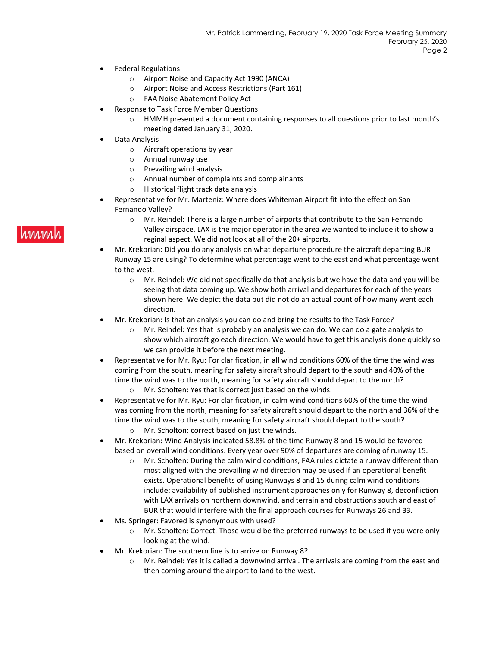- Federal Regulations
	- o Airport Noise and Capacity Act 1990 (ANCA)
	- o Airport Noise and Access Restrictions (Part 161)
	- o FAA Noise Abatement Policy Act
- Response to Task Force Member Questions
	- o HMMH presented a document containing responses to all questions prior to last month's meeting dated January 31, 2020.
- Data Analysis
	- o Aircraft operations by year
	- o Annual runway use
	- o Prevailing wind analysis
	- o Annual number of complaints and complainants
	- o Historical flight track data analysis
- Representative for Mr. Marteniz: Where does Whiteman Airport fit into the effect on San Fernando Valley?
	- o Mr. Reindel: There is a large number of airports that contribute to the San Fernando Valley airspace. LAX is the major operator in the area we wanted to include it to show a reginal aspect. We did not look at all of the 20+ airports.
- Mr. Krekorian: Did you do any analysis on what departure procedure the aircraft departing BUR Runway 15 are using? To determine what percentage went to the east and what percentage went to the west.
	- $\circ$  Mr. Reindel: We did not specifically do that analysis but we have the data and you will be seeing that data coming up. We show both arrival and departures for each of the years shown here. We depict the data but did not do an actual count of how many went each direction.
- Mr. Krekorian: Is that an analysis you can do and bring the results to the Task Force?
	- $\circ$  Mr. Reindel: Yes that is probably an analysis we can do. We can do a gate analysis to show which aircraft go each direction. We would have to get this analysis done quickly so we can provide it before the next meeting.
- Representative for Mr. Ryu: For clarification, in all wind conditions 60% of the time the wind was coming from the south, meaning for safety aircraft should depart to the south and 40% of the time the wind was to the north, meaning for safety aircraft should depart to the north? o Mr. Scholten: Yes that is correct just based on the winds.
- Representative for Mr. Ryu: For clarification, in calm wind conditions 60% of the time the wind was coming from the north, meaning for safety aircraft should depart to the north and 36% of the time the wind was to the south, meaning for safety aircraft should depart to the south?
	- o Mr. Scholton: correct based on just the winds.
- Mr. Krekorian: Wind Analysis indicated 58.8% of the time Runway 8 and 15 would be favored based on overall wind conditions. Every year over 90% of departures are coming of runway 15.
	- $\circ$  Mr. Scholten: During the calm wind conditions, FAA rules dictate a runway different than most aligned with the prevailing wind direction may be used if an operational benefit exists. Operational benefits of using Runways 8 and 15 during calm wind conditions include: availability of published instrument approaches only for Runway 8, deconfliction with LAX arrivals on northern downwind, and terrain and obstructions south and east of BUR that would interfere with the final approach courses for Runways 26 and 33.
- Ms. Springer: Favored is synonymous with used?
	- $\circ$  Mr. Scholten: Correct. Those would be the preferred runways to be used if you were only looking at the wind.
- Mr. Krekorian: The southern line is to arrive on Runway 8?
	- o Mr. Reindel: Yes it is called a downwind arrival. The arrivals are coming from the east and then coming around the airport to land to the west.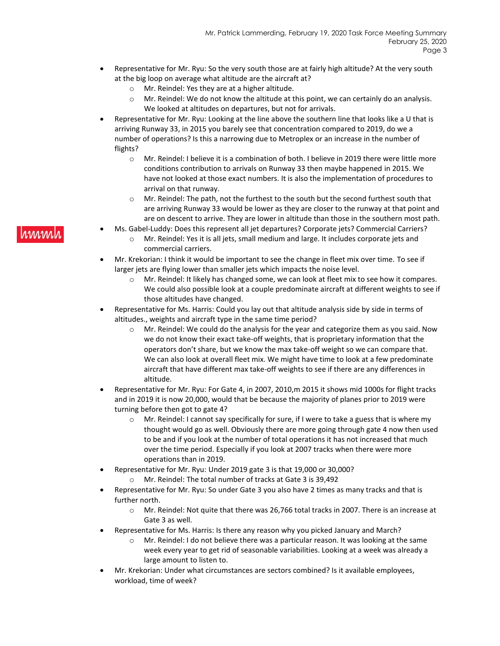- Representative for Mr. Ryu: So the very south those are at fairly high altitude? At the very south at the big loop on average what altitude are the aircraft at?
	- o Mr. Reindel: Yes they are at a higher altitude.
	- o Mr. Reindel: We do not know the altitude at this point, we can certainly do an analysis. We looked at altitudes on departures, but not for arrivals.
- Representative for Mr. Ryu: Looking at the line above the southern line that looks like a U that is arriving Runway 33, in 2015 you barely see that concentration compared to 2019, do we a number of operations? Is this a narrowing due to Metroplex or an increase in the number of flights?
	- o Mr. Reindel: I believe it is a combination of both. I believe in 2019 there were little more conditions contribution to arrivals on Runway 33 then maybe happened in 2015. We have not looked at those exact numbers. It is also the implementation of procedures to arrival on that runway.
	- o Mr. Reindel: The path, not the furthest to the south but the second furthest south that are arriving Runway 33 would be lower as they are closer to the runway at that point and are on descent to arrive. They are lower in altitude than those in the southern most path.
- Ms. Gabel-Luddy: Does this represent all jet departures? Corporate jets? Commercial Carriers?
	- o Mr. Reindel: Yes it is all jets, small medium and large. It includes corporate jets and commercial carriers.
- Mr. Krekorian: I think it would be important to see the change in fleet mix over time. To see if larger jets are flying lower than smaller jets which impacts the noise level.
	- o Mr. Reindel: It likely has changed some, we can look at fleet mix to see how it compares. We could also possible look at a couple predominate aircraft at different weights to see if those altitudes have changed.
- Representative for Ms. Harris: Could you lay out that altitude analysis side by side in terms of altitudes., weights and aircraft type in the same time period?
	- $\circ$  Mr. Reindel: We could do the analysis for the year and categorize them as you said. Now we do not know their exact take-off weights, that is proprietary information that the operators don't share, but we know the max take-off weight so we can compare that. We can also look at overall fleet mix. We might have time to look at a few predominate aircraft that have different max take-off weights to see if there are any differences in altitude.
- Representative for Mr. Ryu: For Gate 4, in 2007, 2010,m 2015 it shows mid 1000s for flight tracks and in 2019 it is now 20,000, would that be because the majority of planes prior to 2019 were turning before then got to gate 4?
	- $\circ$  Mr. Reindel: I cannot say specifically for sure, if I were to take a guess that is where my thought would go as well. Obviously there are more going through gate 4 now then used to be and if you look at the number of total operations it has not increased that much over the time period. Especially if you look at 2007 tracks when there were more operations than in 2019.
- Representative for Mr. Ryu: Under 2019 gate 3 is that 19,000 or 30,000?
	- o Mr. Reindel: The total number of tracks at Gate 3 is 39,492
- Representative for Mr. Ryu: So under Gate 3 you also have 2 times as many tracks and that is further north.
	- o Mr. Reindel: Not quite that there was 26,766 total tracks in 2007. There is an increase at Gate 3 as well.
- Representative for Ms. Harris: Is there any reason why you picked January and March?
	- Mr. Reindel: I do not believe there was a particular reason. It was looking at the same week every year to get rid of seasonable variabilities. Looking at a week was already a large amount to listen to.
- Mr. Krekorian: Under what circumstances are sectors combined? Is it available employees, workload, time of week?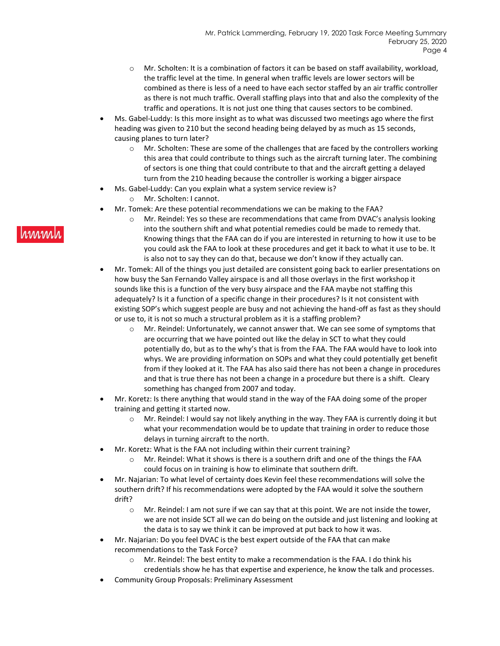- $\circ$  Mr. Scholten: It is a combination of factors it can be based on staff availability, workload, the traffic level at the time. In general when traffic levels are lower sectors will be combined as there is less of a need to have each sector staffed by an air traffic controller as there is not much traffic. Overall staffing plays into that and also the complexity of the traffic and operations. It is not just one thing that causes sectors to be combined.
- Ms. Gabel-Luddy: Is this more insight as to what was discussed two meetings ago where the first heading was given to 210 but the second heading being delayed by as much as 15 seconds, causing planes to turn later?
	- $\circ$  Mr. Scholten: These are some of the challenges that are faced by the controllers working this area that could contribute to things such as the aircraft turning later. The combining of sectors is one thing that could contribute to that and the aircraft getting a delayed turn from the 210 heading because the controller is working a bigger airspace
- Ms. Gabel-Luddy: Can you explain what a system service review is? o Mr. Scholten: I cannot.
- Mr. Tomek: Are these potential recommendations we can be making to the FAA?
	- o Mr. Reindel: Yes so these are recommendations that came from DVAC's analysis looking into the southern shift and what potential remedies could be made to remedy that. Knowing things that the FAA can do if you are interested in returning to how it use to be you could ask the FAA to look at these procedures and get it back to what it use to be. It is also not to say they can do that, because we don't know if they actually can.
- Mr. Tomek: All of the things you just detailed are consistent going back to earlier presentations on how busy the San Fernando Valley airspace is and all those overlays in the first workshop it sounds like this is a function of the very busy airspace and the FAA maybe not staffing this adequately? Is it a function of a specific change in their procedures? Is it not consistent with existing SOP's which suggest people are busy and not achieving the hand-off as fast as they should or use to, it is not so much a structural problem as it is a staffing problem?
	- $\circ$  Mr. Reindel: Unfortunately, we cannot answer that. We can see some of symptoms that are occurring that we have pointed out like the delay in SCT to what they could potentially do, but as to the why's that is from the FAA. The FAA would have to look into whys. We are providing information on SOPs and what they could potentially get benefit from if they looked at it. The FAA has also said there has not been a change in procedures and that is true there has not been a change in a procedure but there is a shift. Cleary something has changed from 2007 and today.
- Mr. Koretz: Is there anything that would stand in the way of the FAA doing some of the proper training and getting it started now.
	- $\circ$  Mr. Reindel: I would say not likely anything in the way. They FAA is currently doing it but what your recommendation would be to update that training in order to reduce those delays in turning aircraft to the north.
- Mr. Koretz: What is the FAA not including within their current training?
	- $\circ$  Mr. Reindel: What it shows is there is a southern drift and one of the things the FAA could focus on in training is how to eliminate that southern drift.
- Mr. Najarian: To what level of certainty does Kevin feel these recommendations will solve the southern drift? If his recommendations were adopted by the FAA would it solve the southern drift?
	- o Mr. Reindel: I am not sure if we can say that at this point. We are not inside the tower, we are not inside SCT all we can do being on the outside and just listening and looking at the data is to say we think it can be improved at put back to how it was.
- Mr. Najarian: Do you feel DVAC is the best expert outside of the FAA that can make recommendations to the Task Force?
	- o Mr. Reindel: The best entity to make a recommendation is the FAA. I do think his credentials show he has that expertise and experience, he know the talk and processes.
- Community Group Proposals: Preliminary Assessment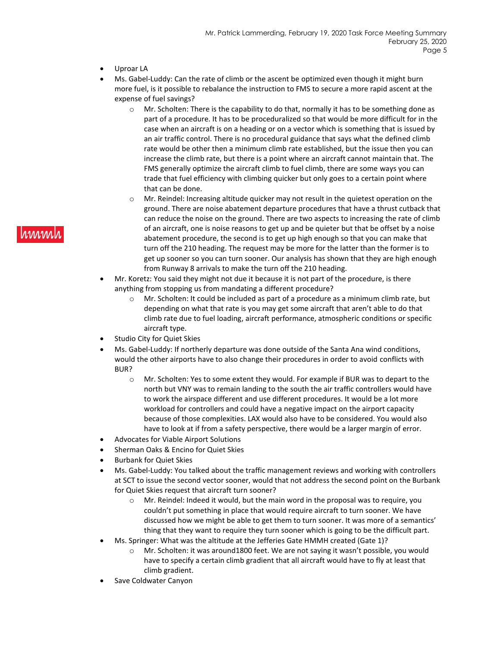- Uproar LA
- Ms. Gabel-Luddy: Can the rate of climb or the ascent be optimized even though it might burn more fuel, is it possible to rebalance the instruction to FMS to secure a more rapid ascent at the expense of fuel savings?
	- $\circ$  Mr. Scholten: There is the capability to do that, normally it has to be something done as part of a procedure. It has to be proceduralized so that would be more difficult for in the case when an aircraft is on a heading or on a vector which is something that is issued by an air traffic control. There is no procedural guidance that says what the defined climb rate would be other then a minimum climb rate established, but the issue then you can increase the climb rate, but there is a point where an aircraft cannot maintain that. The FMS generally optimize the aircraft climb to fuel climb, there are some ways you can trade that fuel efficiency with climbing quicker but only goes to a certain point where that can be done.
	- o Mr. Reindel: Increasing altitude quicker may not result in the quietest operation on the ground. There are noise abatement departure procedures that have a thrust cutback that can reduce the noise on the ground. There are two aspects to increasing the rate of climb of an aircraft, one is noise reasons to get up and be quieter but that be offset by a noise abatement procedure, the second is to get up high enough so that you can make that turn off the 210 heading. The request may be more for the latter than the former is to get up sooner so you can turn sooner. Our analysis has shown that they are high enough from Runway 8 arrivals to make the turn off the 210 heading.
- Mr. Koretz: You said they might not due it because it is not part of the procedure, is there anything from stopping us from mandating a different procedure?
	- o Mr. Scholten: It could be included as part of a procedure as a minimum climb rate, but depending on what that rate is you may get some aircraft that aren't able to do that climb rate due to fuel loading, aircraft performance, atmospheric conditions or specific aircraft type.
- Studio City for Quiet Skies
- Ms. Gabel-Luddy: If northerly departure was done outside of the Santa Ana wind conditions, would the other airports have to also change their procedures in order to avoid conflicts with BUR?
	- o Mr. Scholten: Yes to some extent they would. For example if BUR was to depart to the north but VNY was to remain landing to the south the air traffic controllers would have to work the airspace different and use different procedures. It would be a lot more workload for controllers and could have a negative impact on the airport capacity because of those complexities. LAX would also have to be considered. You would also have to look at if from a safety perspective, there would be a larger margin of error.
- Advocates for Viable Airport Solutions
- Sherman Oaks & Encino for Quiet Skies
- Burbank for Quiet Skies
- Ms. Gabel-Luddy: You talked about the traffic management reviews and working with controllers at SCT to issue the second vector sooner, would that not address the second point on the Burbank for Quiet Skies request that aircraft turn sooner?
	- o Mr. Reindel: Indeed it would, but the main word in the proposal was to require, you couldn't put something in place that would require aircraft to turn sooner. We have discussed how we might be able to get them to turn sooner. It was more of a semantics' thing that they want to require they turn sooner which is going to be the difficult part.
- Ms. Springer: What was the altitude at the Jefferies Gate HMMH created (Gate 1)?
	- o Mr. Scholten: it was around1800 feet. We are not saying it wasn't possible, you would have to specify a certain climb gradient that all aircraft would have to fly at least that climb gradient.
- Save Coldwater Canyon

# **rinnin**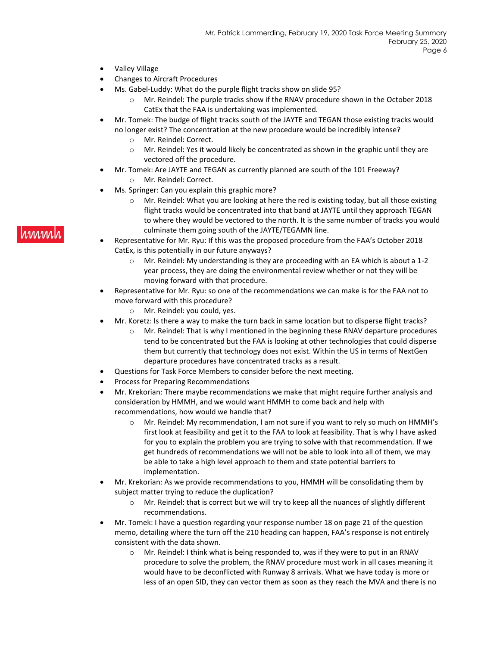- Valley Village
- Changes to Aircraft Procedures
	- Ms. Gabel-Luddy: What do the purple flight tracks show on slide 95?
		- o Mr. Reindel: The purple tracks show if the RNAV procedure shown in the October 2018 CatEx that the FAA is undertaking was implemented.
- Mr. Tomek: The budge of flight tracks south of the JAYTE and TEGAN those existing tracks would no longer exist? The concentration at the new procedure would be incredibly intense?
	- o Mr. Reindel: Correct.
	- $\circ$  Mr. Reindel: Yes it would likely be concentrated as shown in the graphic until they are vectored off the procedure.
- Mr. Tomek: Are JAYTE and TEGAN as currently planned are south of the 101 Freeway?
	- o Mr. Reindel: Correct.
- Ms. Springer: Can you explain this graphic more?
	- o Mr. Reindel: What you are looking at here the red is existing today, but all those existing flight tracks would be concentrated into that band at JAYTE until they approach TEGAN to where they would be vectored to the north. It is the same number of tracks you would culminate them going south of the JAYTE/TEGAMN line.
- Representative for Mr. Ryu: If this was the proposed procedure from the FAA's October 2018 CatEx, is this potentially in our future anyways?
	- $\circ$  Mr. Reindel: My understanding is they are proceeding with an EA which is about a 1-2 year process, they are doing the environmental review whether or not they will be moving forward with that procedure.
- Representative for Mr. Ryu: so one of the recommendations we can make is for the FAA not to move forward with this procedure?
	- o Mr. Reindel: you could, yes.
	- Mr. Koretz: Is there a way to make the turn back in same location but to disperse flight tracks?
		- o Mr. Reindel: That is why I mentioned in the beginning these RNAV departure procedures tend to be concentrated but the FAA is looking at other technologies that could disperse them but currently that technology does not exist. Within the US in terms of NextGen departure procedures have concentrated tracks as a result.
- Questions for Task Force Members to consider before the next meeting.
- Process for Preparing Recommendations
- Mr. Krekorian: There maybe recommendations we make that might require further analysis and consideration by HMMH, and we would want HMMH to come back and help with recommendations, how would we handle that?
	- o Mr. Reindel: My recommendation, I am not sure if you want to rely so much on HMMH's first look at feasibility and get it to the FAA to look at feasibility. That is why I have asked for you to explain the problem you are trying to solve with that recommendation. If we get hundreds of recommendations we will not be able to look into all of them, we may be able to take a high level approach to them and state potential barriers to implementation.
- Mr. Krekorian: As we provide recommendations to you, HMMH will be consolidating them by subject matter trying to reduce the duplication?
	- o Mr. Reindel: that is correct but we will try to keep all the nuances of slightly different recommendations.
- Mr. Tomek: I have a question regarding your response number 18 on page 21 of the question memo, detailing where the turn off the 210 heading can happen, FAA's response is not entirely consistent with the data shown.
	- o Mr. Reindel: I think what is being responded to, was if they were to put in an RNAV procedure to solve the problem, the RNAV procedure must work in all cases meaning it would have to be deconflicted with Runway 8 arrivals. What we have today is more or less of an open SID, they can vector them as soon as they reach the MVA and there is no